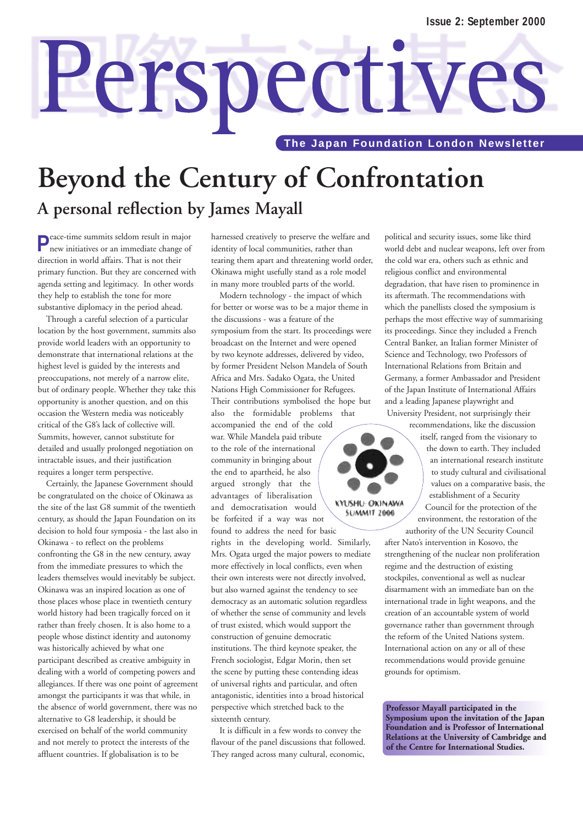# Perspectives

**The Japan Foundation London Newsletter** 

## **Beyond the Century of Confrontation A personal reflection by James Mayall**

**P**eace-time summits seldom result in major new initiatives or an immediate change of direction in world affairs. That is not their primary function. But they are concerned with agenda setting and legitimacy. In other words they help to establish the tone for more substantive diplomacy in the period ahead.

Through a careful selection of a particular location by the host government, summits also provide world leaders with an opportunity to demonstrate that international relations at the highest level is guided by the interests and preoccupations, not merely of a narrow elite, but of ordinary people. Whether they take this opportunity is another question, and on this occasion the Western media was noticeably critical of the G8's lack of collective will. Summits, however, cannot substitute for detailed and usually prolonged negotiation on intractable issues, and their justification requires a longer term perspective.

Certainly, the Japanese Government should be congratulated on the choice of Okinawa as the site of the last G8 summit of the twentieth century, as should the Japan Foundation on its decision to hold four symposia - the last also in Okinawa - to reflect on the problems confronting the G8 in the new century, away from the immediate pressures to which the leaders themselves would inevitably be subject. Okinawa was an inspired location as one of those places whose place in twentieth century world history had been tragically forced on it rather than freely chosen. It is also home to a people whose distinct identity and autonomy was historically achieved by what one participant described as creative ambiguity in dealing with a world of competing powers and allegiances. If there was one point of agreement amongst the participants it was that while, in the absence of world government, there was no alternative to G8 leadership, it should be exercised on behalf of the world community and not merely to protect the interests of the affluent countries. If globalisation is to be

harnessed creatively to preserve the welfare and identity of local communities, rather than tearing them apart and threatening world order, Okinawa might usefully stand as a role model in many more troubled parts of the world.

Modern technology - the impact of which for better or worse was to be a major theme in the discussions - was a feature of the symposium from the start. Its proceedings were broadcast on the Internet and were opened by two keynote addresses, delivered by video, by former President Nelson Mandela of South Africa and Mrs. Sadako Ogata, the United Nations High Commissioner for Refugees. Their contributions symbolised the hope but also the formidable problems that

accompanied the end of the cold war. While Mandela paid tribute to the role of the international community in bringing about the end to apartheid, he also argued strongly that the advantages of liberalisation and democratisation would be forfeited if a way was not found to address the need for basic

rights in the developing world. Similarly, Mrs. Ogata urged the major powers to mediate more effectively in local conflicts, even when their own interests were not directly involved, but also warned against the tendency to see democracy as an automatic solution regardless of whether the sense of community and levels of trust existed, which would support the construction of genuine democratic institutions. The third keynote speaker, the French sociologist, Edgar Morin, then set the scene by putting these contending ideas of universal rights and particular, and often antagonistic, identities into a broad historical perspective which stretched back to the sixteenth century.

It is difficult in a few words to convey the flavour of the panel discussions that followed. They ranged across many cultural, economic,

political and security issues, some like third world debt and nuclear weapons, left over from the cold war era, others such as ethnic and religious conflict and environmental degradation, that have risen to prominence in its aftermath. The recommendations with which the panellists closed the symposium is perhaps the most effective way of summarising its proceedings. Since they included a French Central Banker, an Italian former Minister of Science and Technology, two Professors of International Relations from Britain and Germany, a former Ambassador and President of the Japan Institute of International Affairs and a leading Japanese playwright and University President, not surprisingly their

> recommendations, like the discussion itself, ranged from the visionary to the down to earth. They included an international research institute to study cultural and civilisational values on a comparative basis, the establishment of a Security Council for the protection of the environment, the restoration of the authority of the UN Security Council

after Nato's intervention in Kosovo, the strengthening of the nuclear non proliferation regime and the destruction of existing stockpiles, conventional as well as nuclear disarmament with an immediate ban on the international trade in light weapons, and the creation of an accountable system of world governance rather than government through the reform of the United Nations system. International action on any or all of these recommendations would provide genuine grounds for optimism.

**Professor Mayall participated in the Symposium upon the invitation of the Japan Foundation and is Professor of International Relations at the University of Cambridge and of the Centre for International Studies.**

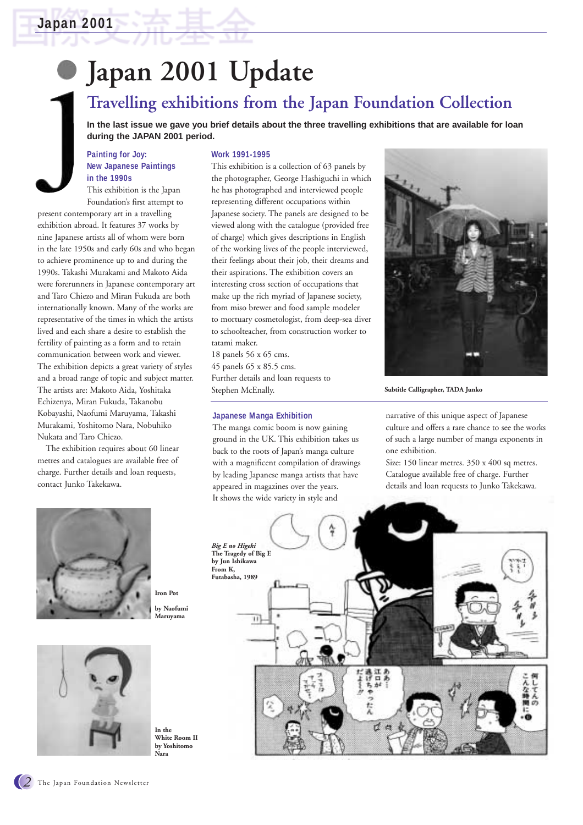# **Japan 2001 Update**

## **Travelling exhibitions from the Japan Foundation Collection**

**In the last issue we gave you brief details about the three travelling exhibitions that are available for loan during the JAPAN 2001 period.**

#### **Painting for Joy: New Japanese Paintings in the 1990s**

This exhibition is the Japan Foundation's first attempt to

present contemporary art in a travelling exhibition abroad. It features 37 works by nine Japanese artists all of whom were born in the late 1950s and early 60s and who began to achieve prominence up to and during the 1990s. Takashi Murakami and Makoto Aida were forerunners in Japanese contemporary art and Taro Chiezo and Miran Fukuda are both internationally known. Many of the works are representative of the times in which the artists lived and each share a desire to establish the fertility of painting as a form and to retain communication between work and viewer. The exhibition depicts a great variety of styles and a broad range of topic and subject matter. The artists are: Makoto Aida, Yoshitaka Echizenya, Miran Fukuda, Takanobu Kobayashi, Naofumi Maruyama, Takashi Murakami, Yoshitomo Nara, Nobuhiko Nukata and Taro Chiezo.

The exhibition requires about 60 linear metres and catalogues are available free of charge. Further details and loan requests, contact Junko Takekawa.





**In the White Room II by Yoshitomo Nara**

#### **Work 1991-1995**

This exhibition is a collection of 63 panels by the photographer, George Hashiguchi in which he has photographed and interviewed people representing different occupations within Japanese society. The panels are designed to be viewed along with the catalogue (provided free of charge) which gives descriptions in English of the working lives of the people interviewed, their feelings about their job, their dreams and their aspirations. The exhibition covers an interesting cross section of occupations that make up the rich myriad of Japanese society, from miso brewer and food sample modeler to mortuary cosmetologist, from deep-sea diver to schoolteacher, from construction worker to tatami maker.

18 panels 56 x 65 cms. 45 panels 65 x 85.5 cms. Further details and loan requests to Stephen McEnally.

#### **Japanese Manga Exhibition**

The manga comic boom is now gaining ground in the UK. This exhibition takes us back to the roots of Japan's manga culture with a magnificent compilation of drawings by leading Japanese manga artists that have appeared in magazines over the years. It shows the wide variety in style and



**Subtitle Calligrapher, TADA Junko**

narrative of this unique aspect of Japanese culture and offers a rare chance to see the works of such a large number of manga exponents in one exhibition.

Size: 150 linear metres. 350 x 400 sq metres. Catalogue available free of charge. Further details and loan requests to Junko Takekawa.

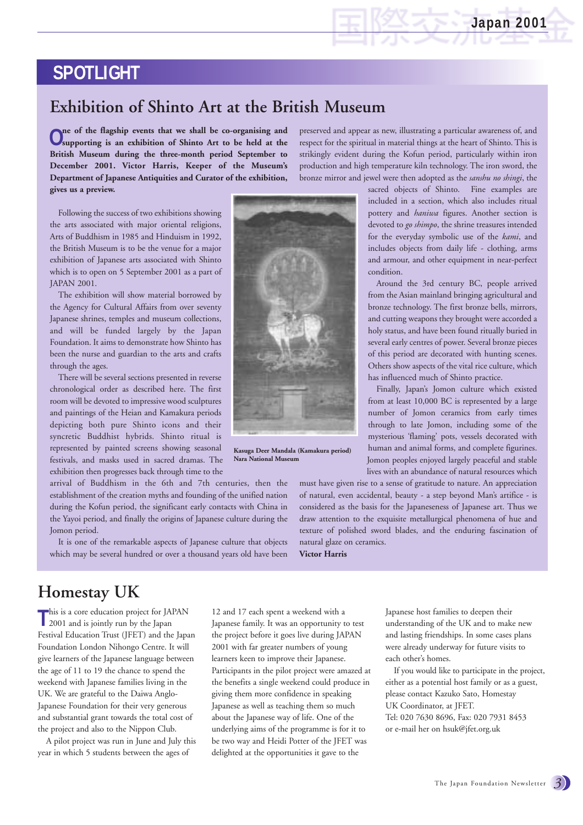## **SPOTLIGHT**

## **Exhibition of Shinto Art at the British Museum**

**One of the flagship events that we shall be co-organising and supporting is an exhibition of Shinto Art to be held at the British Museum during the three-month period September to December 2001. Victor Harris, Keeper of the Museum's Department of Japanese Antiquities and Curator of the exhibition, gives us a preview.** 

Following the success of two exhibitions showing the arts associated with major oriental religions, Arts of Buddhism in 1985 and Hinduism in 1992, the British Museum is to be the venue for a major exhibition of Japanese arts associated with Shinto which is to open on 5 September 2001 as a part of JAPAN 2001.

The exhibition will show material borrowed by the Agency for Cultural Affairs from over seventy Japanese shrines, temples and museum collections, and will be funded largely by the Japan Foundation. It aims to demonstrate how Shinto has been the nurse and guardian to the arts and crafts through the ages.

There will be several sections presented in reverse chronological order as described here. The first room will be devoted to impressive wood sculptures and paintings of the Heian and Kamakura periods depicting both pure Shinto icons and their syncretic Buddhist hybrids. Shinto ritual is represented by painted screens showing seasonal festivals, and masks used in sacred dramas. The exhibition then progresses back through time to the

arrival of Buddhism in the 6th and 7th centuries, then the establishment of the creation myths and founding of the unified nation during the Kofun period, the significant early contacts with China in the Yayoi period, and finally the origins of Japanese culture during the Jomon period.

It is one of the remarkable aspects of Japanese culture that objects which may be several hundred or over a thousand years old have been



**Kasuga Deer Mandala (Kamakura period) Nara National Museum**

preserved and appear as new, illustrating a particular awareness of, and respect for the spiritual in material things at the heart of Shinto. This is strikingly evident during the Kofun period, particularly within iron production and high temperature kiln technology. The iron sword, the bronze mirror and jewel were then adopted as the *sanshu no shingi*, the

> sacred objects of Shinto. Fine examples are included in a section, which also includes ritual pottery and *haniwa* figures. Another section is devoted to *go shimpo*, the shrine treasures intended for the everyday symbolic use of the *kami*, and includes objects from daily life - clothing, arms and armour, and other equipment in near-perfect condition.

> Around the 3rd century BC, people arrived from the Asian mainland bringing agricultural and bronze technology. The first bronze bells, mirrors, and cutting weapons they brought were accorded a holy status, and have been found ritually buried in several early centres of power. Several bronze pieces of this period are decorated with hunting scenes. Others show aspects of the vital rice culture, which has influenced much of Shinto practice.

> Finally, Japan's Jomon culture which existed from at least 10,000 BC is represented by a large number of Jomon ceramics from early times through to late Jomon, including some of the mysterious 'flaming' pots, vessels decorated with human and animal forms, and complete figurines. Jomon peoples enjoyed largely peaceful and stable lives with an abundance of natural resources which

must have given rise to a sense of gratitude to nature. An appreciation of natural, even accidental, beauty - a step beyond Man's artifice - is considered as the basis for the Japaneseness of Japanese art. Thus we draw attention to the exquisite metallurgical phenomena of hue and texture of polished sword blades, and the enduring fascination of natural glaze on ceramics. **Victor Harris**

**Homestay UK** 

This is a core education project for JA 2001 and is jointly run by the Japan his is a core education project for JAPAN Festival Education Trust (JFET) and the Japan Foundation London Nihongo Centre. It will give learners of the Japanese language between the age of 11 to 19 the chance to spend the weekend with Japanese families living in the UK. We are grateful to the Daiwa Anglo-Japanese Foundation for their very generous and substantial grant towards the total cost of the project and also to the Nippon Club.

A pilot project was run in June and July this year in which 5 students between the ages of

12 and 17 each spent a weekend with a Japanese family. It was an opportunity to test the project before it goes live during JAPAN 2001 with far greater numbers of young learners keen to improve their Japanese. Participants in the pilot project were amazed at the benefits a single weekend could produce in giving them more confidence in speaking Japanese as well as teaching them so much about the Japanese way of life. One of the underlying aims of the programme is for it to be two way and Heidi Potter of the JFET was delighted at the opportunities it gave to the

Japanese host families to deepen their understanding of the UK and to make new and lasting friendships. In some cases plans were already underway for future visits to each other's homes.

If you would like to participate in the project, either as a potential host family or as a guest, please contact Kazuko Sato, Homestay UK Coordinator, at JFET. Tel: 020 7630 8696, Fax: 020 7931 8453 or e-mail her on hsuk@jfet.org.uk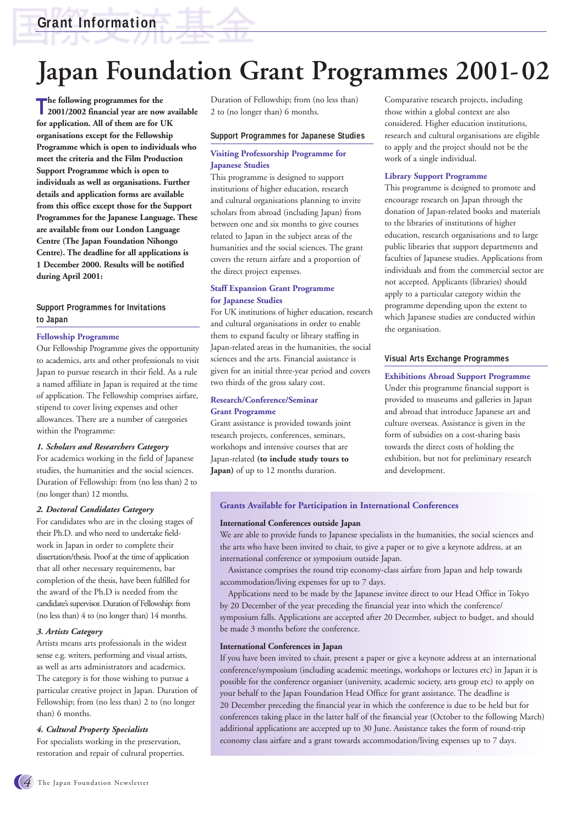# **Japan Foundation Grant Programmes 2001-02**

The following programmes for the<br>2001/2002 financial year are now available **he following programmes for the for application. All of them are for UK organisations except for the Fellowship Programme which is open to individuals who meet the criteria and the Film Production Support Programme which is open to individuals as well as organisations. Further details and application forms are available from this office except those for the Support Programmes for the Japanese Language. These are available from our London Language Centre (The Japan Foundation Nihongo Centre). The deadline for all applications is 1 December 2000. Results will be notified during April 2001:** 

#### **Support Programmes for Invitations to Japan**

#### **Fellowship Programme**

Our Fellowship Programme gives the opportunity to academics, arts and other professionals to visit Japan to pursue research in their field. As a rule a named affiliate in Japan is required at the time of application. The Fellowship comprises airfare, stipend to cover living expenses and other allowances. There are a number of categories within the Programme:

#### *1. Scholars and Researchers Category*

For academics working in the field of Japanese studies, the humanities and the social sciences. Duration of Fellowship: from (no less than) 2 to (no longer than) 12 months.

#### *2. Doctoral Candidates Category*

For candidates who are in the closing stages of their Ph.D. and who need to undertake fieldwork in Japan in order to complete their dissertation/thesis. Proof at the time of application that all other necessary requirements, bar completion of the thesis, have been fulfilled for the award of the Ph.D is needed from the candidate's supervisor. Duration of Fellowship: from (no less than) 4 to (no longer than) 14 months.

#### *3. Artists Category*

Artists means arts professionals in the widest sense e.g. writers, performing and visual artists, as well as arts administrators and academics. The category is for those wishing to pursue a particular creative project in Japan. Duration of Fellowship; from (no less than) 2 to (no longer than) 6 months.

#### *4. Cultural Property Specialists*

For specialists working in the preservation, restoration and repair of cultural properties. Duration of Fellowship; from (no less than) 2 to (no longer than) 6 months.

#### **Support Programmes for Japanese Studies**

#### **Visiting Professorship Programme for Japanese Studies**

This programme is designed to support institutions of higher education, research and cultural organisations planning to invite scholars from abroad (including Japan) from between one and six months to give courses related to Japan in the subject areas of the humanities and the social sciences. The grant covers the return airfare and a proportion of the direct project expenses.

#### **Staff Expansion Grant Programme for Japanese Studies**

For UK institutions of higher education, research and cultural organisations in order to enable them to expand faculty or library staffing in Japan-related areas in the humanities, the social sciences and the arts. Financial assistance is given for an initial three-year period and covers two thirds of the gross salary cost.

#### **Research/Conference/Seminar Grant Programme**

Grant assistance is provided towards joint research projects, conferences, seminars, workshops and intensive courses that are Japan-related **(to include study tours to Japan)** of up to 12 months duration.

Comparative research projects, including those within a global context are also considered. Higher education institutions, research and cultural organisations are eligible to apply and the project should not be the work of a single individual.

#### **Library Support Programme**

This programme is designed to promote and encourage research on Japan through the donation of Japan-related books and materials to the libraries of institutions of higher education, research organisations and to large public libraries that support departments and faculties of Japanese studies. Applications from individuals and from the commercial sector are not accepted. Applicants (libraries) should apply to a particular category within the programme depending upon the extent to which Japanese studies are conducted within the organisation.

#### **Visual Arts Exchange Programmes**

#### **Exhibitions Abroad Support Programme** Under this programme financial support is provided to museums and galleries in Japan and abroad that introduce Japanese art and culture overseas. Assistance is given in the form of subsidies on a cost-sharing basis towards the direct costs of holding the exhibition, but not for preliminary research and development.

#### **Grants Available for Participation in International Conferences**

#### **International Conferences outside Japan**

We are able to provide funds to Japanese specialists in the humanities, the social sciences and the arts who have been invited to chair, to give a paper or to give a keynote address, at an international conference or symposium outside Japan.

Assistance comprises the round trip economy-class airfare from Japan and help towards accommodation/living expenses for up to 7 days.

Applications need to be made by the Japanese invitee direct to our Head Office in Tokyo by 20 December of the year preceding the financial year into which the conference/ symposium falls. Applications are accepted after 20 December, subject to budget, and should be made 3 months before the conference.

#### **International Conferences in Japan**

If you have been invited to chair, present a paper or give a keynote address at an international conference/symposium (including academic meetings, workshops or lectures etc) in Japan it is possible for the conference organiser (university, academic society, arts group etc) to apply on your behalf to the Japan Foundation Head Office for grant assistance. The deadline is 20 December preceding the financial year in which the conference is due to be held but for conferences taking place in the latter half of the financial year (October to the following March) additional applications are accepted up to 30 June. Assistance takes the form of round-trip economy class airfare and a grant towards accommodation/living expenses up to 7 days.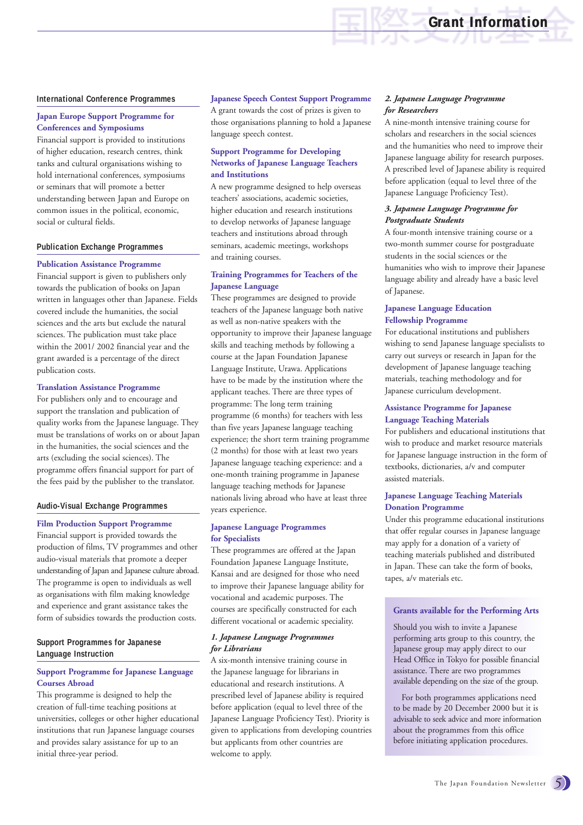#### **International Conference Programmes**

#### **Japan Europe Support Programme for Conferences and Symposiums**

Financial support is provided to institutions of higher education, research centres, think tanks and cultural organisations wishing to hold international conferences, symposiums or seminars that will promote a better understanding between Japan and Europe on common issues in the political, economic, social or cultural fields.

#### **Publication Exchange Programmes**

#### **Publication Assistance Programme**

Financial support is given to publishers only towards the publication of books on Japan written in languages other than Japanese. Fields covered include the humanities, the social sciences and the arts but exclude the natural sciences. The publication must take place within the 2001/ 2002 financial year and the grant awarded is a percentage of the direct publication costs.

#### **Translation Assistance Programme**

For publishers only and to encourage and support the translation and publication of quality works from the Japanese language. They must be translations of works on or about Japan in the humanities, the social sciences and the arts (excluding the social sciences). The programme offers financial support for part of the fees paid by the publisher to the translator.

#### **Audio-Visual Exchange Programmes**

#### **Film Production Support Programme**

Financial support is provided towards the production of films, TV programmes and other audio-visual materials that promote a deeper understanding of Japan and Japanese culture abroad. The programme is open to individuals as well as organisations with film making knowledge and experience and grant assistance takes the form of subsidies towards the production costs.

#### **Support Programmes for Japanese Language Instruction**

#### **Support Programme for Japanese Language Courses Abroad**

This programme is designed to help the creation of full-time teaching positions at universities, colleges or other higher educational institutions that run Japanese language courses and provides salary assistance for up to an initial three-year period.

#### **Japanese Speech Contest Support Programme** A grant towards the cost of prizes is given to those organisations planning to hold a Japanese language speech contest.

#### **Support Programme for Developing Networks of Japanese Language Teachers and Institutions**

A new programme designed to help overseas teachers' associations, academic societies, higher education and research institutions to develop networks of Japanese language teachers and institutions abroad through seminars, academic meetings, workshops and training courses.

#### **Training Programmes for Teachers of the Japanese Language**

These programmes are designed to provide teachers of the Japanese language both native as well as non-native speakers with the opportunity to improve their Japanese language skills and teaching methods by following a course at the Japan Foundation Japanese Language Institute, Urawa. Applications have to be made by the institution where the applicant teaches. There are three types of programme: The long term training programme (6 months) for teachers with less than five years Japanese language teaching experience; the short term training programme (2 months) for those with at least two years Japanese language teaching experience: and a one-month training programme in Japanese language teaching methods for Japanese nationals living abroad who have at least three years experience.

#### **Japanese Language Programmes for Specialists**

These programmes are offered at the Japan Foundation Japanese Language Institute, Kansai and are designed for those who need to improve their Japanese language ability for vocational and academic purposes. The courses are specifically constructed for each different vocational or academic speciality.

#### *1. Japanese Language Programmes for Librarians*

A six-month intensive training course in the Japanese language for librarians in educational and research institutions. A prescribed level of Japanese ability is required before application (equal to level three of the Japanese Language Proficiency Test). Priority is given to applications from developing countries but applicants from other countries are welcome to apply.

#### *2. Japanese Language Programme for Researchers*

A nine-month intensive training course for scholars and researchers in the social sciences and the humanities who need to improve their Japanese language ability for research purposes. A prescribed level of Japanese ability is required before application (equal to level three of the Japanese Language Proficiency Test).

**Grant Information Grant Information**

#### *3. Japanese Language Programme for Postgraduate Students*

A four-month intensive training course or a two-month summer course for postgraduate students in the social sciences or the humanities who wish to improve their Japanese language ability and already have a basic level of Japanese.

#### **Japanese Language Education Fellowship Programme**

For educational institutions and publishers wishing to send Japanese language specialists to carry out surveys or research in Japan for the development of Japanese language teaching materials, teaching methodology and for Japanese curriculum development.

#### **Assistance Programme for Japanese Language Teaching Materials**

For publishers and educational institutions that wish to produce and market resource materials for Japanese language instruction in the form of textbooks, dictionaries, a/v and computer assisted materials.

#### **Japanese Language Teaching Materials Donation Programme**

Under this programme educational institutions that offer regular courses in Japanese language may apply for a donation of a variety of teaching materials published and distributed in Japan. These can take the form of books, tapes, a/v materials etc.

#### **Grants available for the Performing Arts**

Should you wish to invite a Japanese performing arts group to this country, the Japanese group may apply direct to our Head Office in Tokyo for possible financial assistance. There are two programmes available depending on the size of the group.

For both programmes applications need to be made by 20 December 2000 but it is advisable to seek advice and more information about the programmes from this office before initiating application procedures.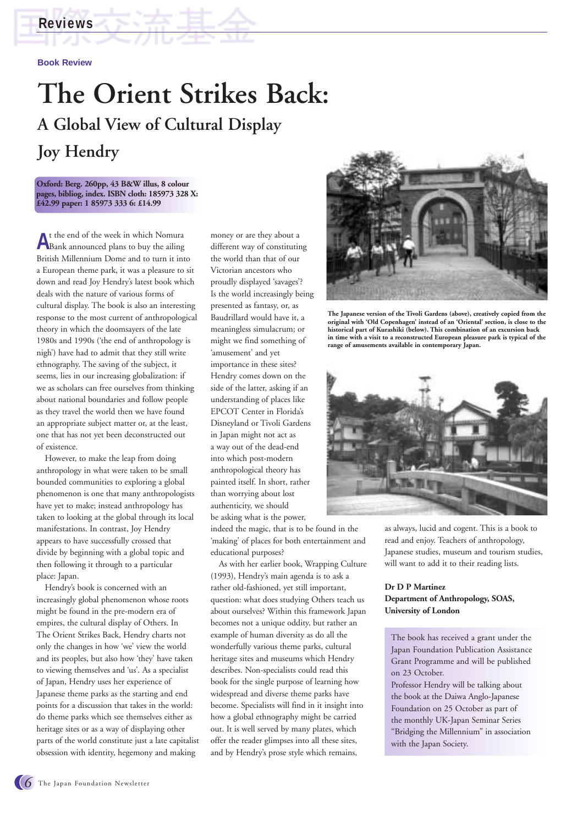### **Reviews**

#### **Book Review**

## **The Orient Strikes Back: A Global View of Cultural Display Joy Hendry**

**Oxford: Berg. 260pp, 43 B&W illus, 8 colour pages, bibliog, index. ISBN cloth: 185973 328 X: £42.99 paper: 1 85973 333 6: £14.99**

**A**t the end of the week in which Nomura Bank announced plans to buy the ailing British Millennium Dome and to turn it into a European theme park, it was a pleasure to sit down and read Joy Hendry's latest book which deals with the nature of various forms of cultural display. The book is also an interesting response to the most current of anthropological theory in which the doomsayers of the late 1980s and 1990s ('the end of anthropology is nigh') have had to admit that they still write ethnography. The saving of the subject, it seems, lies in our increasing globalization: if we as scholars can free ourselves from thinking about national boundaries and follow people as they travel the world then we have found an appropriate subject matter or, at the least, one that has not yet been deconstructed out of existence.

However, to make the leap from doing anthropology in what were taken to be small bounded communities to exploring a global phenomenon is one that many anthropologists have yet to make; instead anthropology has taken to looking at the global through its local manifestations. In contrast, Joy Hendry appears to have successfully crossed that divide by beginning with a global topic and then following it through to a particular place: Japan.

Hendry's book is concerned with an increasingly global phenomenon whose roots might be found in the pre-modern era of empires, the cultural display of Others. In The Orient Strikes Back, Hendry charts not only the changes in how 'we' view the world and its peoples, but also how 'they' have taken to viewing themselves and 'us'. As a specialist of Japan, Hendry uses her experience of Japanese theme parks as the starting and end points for a discussion that takes in the world: do theme parks which see themselves either as heritage sites or as a way of displaying other parts of the world constitute just a late capitalist obsession with identity, hegemony and making

money or are they about a different way of constituting the world than that of our Victorian ancestors who proudly displayed 'savages'? Is the world increasingly being presented as fantasy, or, as Baudrillard would have it, a meaningless simulacrum; or might we find something of 'amusement' and yet importance in these sites? Hendry comes down on the side of the latter, asking if an understanding of places like EPCOT Center in Florida's Disneyland or Tivoli Gardens in Japan might not act as a way out of the dead-end into which post-modern anthropological theory has painted itself. In short, rather than worrying about lost authenticity, we should be asking what is the power,

indeed the magic, that is to be found in the 'making' of places for both entertainment and educational purposes?

As with her earlier book, Wrapping Culture (1993), Hendry's main agenda is to ask a rather old-fashioned, yet still important, question: what does studying Others teach us about ourselves? Within this framework Japan becomes not a unique oddity, but rather an example of human diversity as do all the wonderfully various theme parks, cultural heritage sites and museums which Hendry describes. Non-specialists could read this book for the single purpose of learning how widespread and diverse theme parks have become. Specialists will find in it insight into how a global ethnography might be carried out. It is well served by many plates, which offer the reader glimpses into all these sites, and by Hendry's prose style which remains,



**The Japanese version of the Tivoli Gardens (above), creatively copied from the original with 'Old Copenhagen' instead of an 'Oriental' section, is close to the historical part of Kurashiki (below). This combination of an excursion back in time with a visit to a reconstructed European pleasure park is typical of the range of amusements available in contemporary Japan.**



as always, lucid and cogent. This is a book to read and enjoy. Teachers of anthropology, Japanese studies, museum and tourism studies, will want to add it to their reading lists.

#### **Dr D P Martinez Department of Anthropology, SOAS, University of London**

The book has received a grant under the Japan Foundation Publication Assistance Grant Programme and will be published on 23 October.

Professor Hendry will be talking about the book at the Daiwa Anglo-Japanese Foundation on 25 October as part of the monthly UK-Japan Seminar Series "Bridging the Millennium" in association with the Japan Society.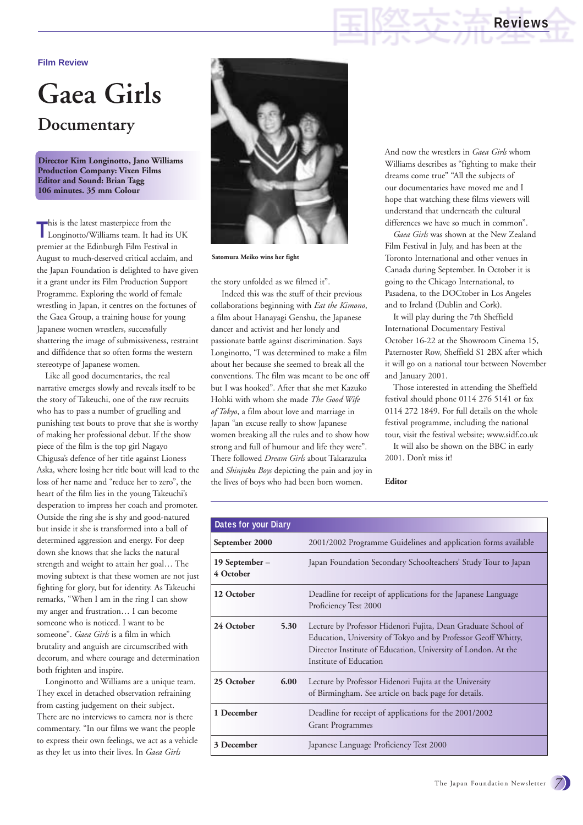**Film Review**

## **Gaea Girls Documentary**

**Director Kim Longinotto, Jano Williams Production Company: Vixen Films Editor and Sound: Brian Tagg 106 minutes. 35 mm Colour**

This is the latest masterpiece from the<br>
Longinotto/Williams team. It had its UK This is the latest masterpiece from the premier at the Edinburgh Film Festival in August to much-deserved critical acclaim, and the Japan Foundation is delighted to have given it a grant under its Film Production Support Programme. Exploring the world of female wrestling in Japan, it centres on the fortunes of the Gaea Group, a training house for young Japanese women wrestlers, successfully shattering the image of submissiveness, restraint and diffidence that so often forms the western stereotype of Japanese women.

Like all good documentaries, the real narrative emerges slowly and reveals itself to be the story of Takeuchi, one of the raw recruits who has to pass a number of gruelling and punishing test bouts to prove that she is worthy of making her professional debut. If the show piece of the film is the top girl Nagayo Chigusa's defence of her title against Lioness Aska, where losing her title bout will lead to the loss of her name and "reduce her to zero", the heart of the film lies in the young Takeuchi's desperation to impress her coach and promoter. Outside the ring she is shy and good-natured but inside it she is transformed into a ball of determined aggression and energy. For deep down she knows that she lacks the natural strength and weight to attain her goal… The moving subtext is that these women are not just fighting for glory, but for identity. As Takeuchi remarks, "When I am in the ring I can show my anger and frustration… I can become someone who is noticed. I want to be someone". *Gaea Girls* is a film in which brutality and anguish are circumscribed with decorum, and where courage and determination both frighten and inspire.

Longinotto and Williams are a unique team. They excel in detached observation refraining from casting judgement on their subject. There are no interviews to camera nor is there commentary. "In our films we want the people to express their own feelings, we act as a vehicle as they let us into their lives. In *Gaea Girls*



**Satomura Meiko wins her fight**

the story unfolded as we filmed it".

Indeed this was the stuff of their previous collaborations beginning with *Eat the Kimono*, a film about Hanayagi Genshu, the Japanese dancer and activist and her lonely and passionate battle against discrimination. Says Longinotto, "I was determined to make a film about her because she seemed to break all the conventions. The film was meant to be one off but I was hooked". After that she met Kazuko Hohki with whom she made *The Good Wife of Tokyo*, a film about love and marriage in Japan "an excuse really to show Japanese women breaking all the rules and to show how strong and full of humour and life they were". There followed *Dream Girls* about Takarazuka and *Shinjuku Boys* depicting the pain and joy in the lives of boys who had been born women.

And now the wrestlers in *Gaea Girls* whom Williams describes as "fighting to make their dreams come true" "All the subjects of our documentaries have moved me and I hope that watching these films viewers will understand that underneath the cultural differences we have so much in common".

**Reviews**

*Gaea Girls* was shown at the New Zealand Film Festival in July, and has been at the Toronto International and other venues in Canada during September. In October it is going to the Chicago International, to Pasadena, to the DOCtober in Los Angeles and to Ireland (Dublin and Cork).

It will play during the 7th Sheffield International Documentary Festival October 16-22 at the Showroom Cinema 15, Paternoster Row, Sheffield S1 2BX after which it will go on a national tour between November and January 2001.

Those interested in attending the Sheffield festival should phone 0114 276 5141 or fax 0114 272 1849. For full details on the whole festival programme, including the national tour, visit the festival website; www.sidf.co.uk It will also be shown on the BBC in early

2001. Don't miss it!

**Editor**

| Dates for your Diary        |      |                                                                                                                                                                                                                           |
|-----------------------------|------|---------------------------------------------------------------------------------------------------------------------------------------------------------------------------------------------------------------------------|
| September 2000              |      | 2001/2002 Programme Guidelines and application forms available                                                                                                                                                            |
| 19 September –<br>4 October |      | Japan Foundation Secondary Schoolteachers' Study Tour to Japan                                                                                                                                                            |
| 12 October                  |      | Deadline for receipt of applications for the Japanese Language<br>Proficiency Test 2000                                                                                                                                   |
| 24 October                  | 5.30 | Lecture by Professor Hidenori Fujita, Dean Graduate School of<br>Education, University of Tokyo and by Professor Geoff Whitty,<br>Director Institute of Education, University of London. At the<br>Institute of Education |
| 25 October                  | 6.00 | Lecture by Professor Hidenori Fujita at the University<br>of Birmingham. See article on back page for details.                                                                                                            |
| 1 December                  |      | Deadline for receipt of applications for the 2001/2002<br><b>Grant Programmes</b>                                                                                                                                         |
| 3 December                  |      | Japanese Language Proficiency Test 2000                                                                                                                                                                                   |